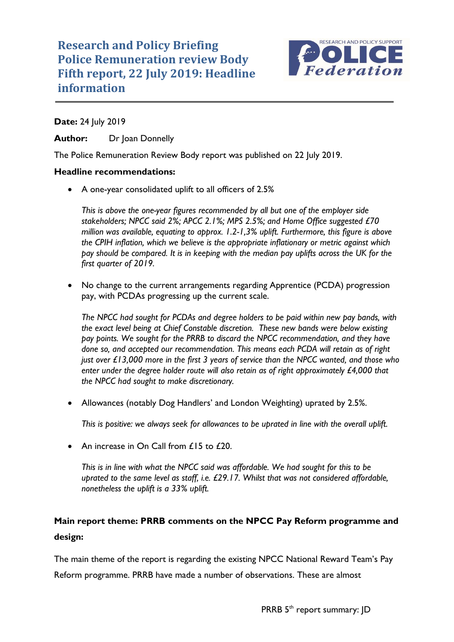

## **Date:** 24 July 2019

Author: Dr Ioan Donnelly

The Police Remuneration Review Body report was published on 22 July 2019.

## **Headline recommendations:**

• A one-year consolidated uplift to all officers of 2.5%

*This is above the one-year figures recommended by all but one of the employer side stakeholders; NPCC said 2%; APCC 2.1%; MPS 2.5%; and Home Office suggested £70 million was available, equating to approx. 1.2-1,3% uplift. Furthermore, this figure is above the CPIH inflation, which we believe is the appropriate inflationary or metric against which pay should be compared. It is in keeping with the median pay uplifts across the UK for the first quarter of 2019.* 

• No change to the current arrangements regarding Apprentice (PCDA) progression pay, with PCDAs progressing up the current scale.

*The NPCC had sought for PCDAs and degree holders to be paid within new pay bands, with the exact level being at Chief Constable discretion. These new bands were below existing pay points. We sought for the PRRB to discard the NPCC recommendation, and they have done so, and accepted our recommendation. This means each PCDA will retain as of right just over £13,000 more in the first 3 years of service than the NPCC wanted, and those who enter under the degree holder route will also retain as of right approximately £4,000 that the NPCC had sought to make discretionary.* 

• Allowances (notably Dog Handlers' and London Weighting) uprated by 2.5%.

*This is positive: we always seek for allowances to be uprated in line with the overall uplift.*

An increase in On Call from £15 to £20.

*This is in line with what the NPCC said was affordable. We had sought for this to be uprated to the same level as staff, i.e. £29.17. Whilst that was not considered affordable, nonetheless the uplift is a 33% uplift.* 

# **Main report theme: PRRB comments on the NPCC Pay Reform programme and design:**

The main theme of the report is regarding the existing NPCC National Reward Team's Pay Reform programme. PRRB have made a number of observations. These are almost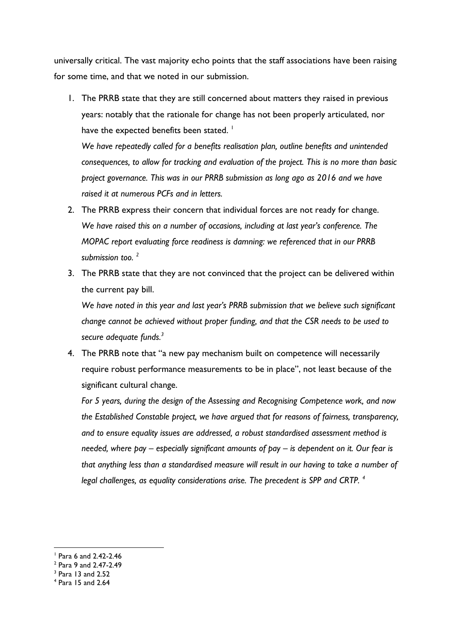universally critical. The vast majority echo points that the staff associations have been raising for some time, and that we noted in our submission.

1. The PRRB state that they are still concerned about matters they raised in previous years: notably that the rationale for change has not been properly articulated, nor have the expected benefits been stated.  $\frac{1}{1}$ 

*We have repeatedly called for a benefits realisation plan, outline benefits and unintended consequences, to allow for tracking and evaluation of the project. This is no more than basic project governance. This was in our PRRB submission as long ago as 2016 and we have raised it at numerous PCFs and in letters.* 

- 2. The PRRB express their concern that individual forces are not ready for change. *We have raised this on a number of occasions, including at last year's conference. The MOPAC report evaluating force readiness is damning: we referenced that in our PRRB submission too. <sup>2</sup>*
- 3. The PRRB state that they are not convinced that the project can be delivered within the current pay bill.

*We have noted in this year and last year's PRRB submission that we believe such significant change cannot be achieved without proper funding, and that the CSR needs to be used to secure adequate funds.<sup>3</sup>*

4. The PRRB note that "a new pay mechanism built on competence will necessarily require robust performance measurements to be in place", not least because of the significant cultural change.

*For 5 years, during the design of the Assessing and Recognising Competence work, and now the Established Constable project, we have argued that for reasons of fairness, transparency, and to ensure equality issues are addressed, a robust standardised assessment method is needed, where pay – especially significant amounts of pay – is dependent on it. Our fear is that anything less than a standardised measure will result in our having to take a number of legal challenges, as equality considerations arise. The precedent is SPP and CRTP. <sup>4</sup>*

 $\overline{a}$ 

<sup>1</sup> Para 6 and 2.42-2.46

<sup>2</sup> Para 9 and 2.47-2.49

<sup>3</sup> Para 13 and 2.52

<sup>4</sup> Para 15 and 2.64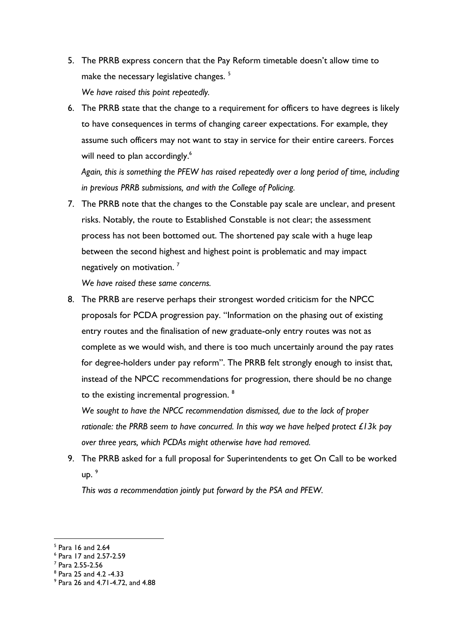- 5. The PRRB express concern that the Pay Reform timetable doesn't allow time to make the necessary legislative changes.<sup>5</sup> *We have raised this point repeatedly.*
- 6. The PRRB state that the change to a requirement for officers to have degrees is likely to have consequences in terms of changing career expectations. For example, they assume such officers may not want to stay in service for their entire careers. Forces will need to plan accordingly.<sup>6</sup>

*Again, this is something the PFEW has raised repeatedly over a long period of time, including in previous PRRB submissions, and with the College of Policing.* 

7. The PRRB note that the changes to the Constable pay scale are unclear, and present risks. Notably, the route to Established Constable is not clear; the assessment process has not been bottomed out. The shortened pay scale with a huge leap between the second highest and highest point is problematic and may impact negatively on motivation.<sup>7</sup>

*We have raised these same concerns.* 

8. The PRRB are reserve perhaps their strongest worded criticism for the NPCC proposals for PCDA progression pay. "Information on the phasing out of existing entry routes and the finalisation of new graduate-only entry routes was not as complete as we would wish, and there is too much uncertainly around the pay rates for degree-holders under pay reform". The PRRB felt strongly enough to insist that, instead of the NPCC recommendations for progression, there should be no change to the existing incremental progression. <sup>8</sup>

*We sought to have the NPCC recommendation dismissed, due to the lack of proper rationale: the PRRB seem to have concurred. In this way we have helped protect £13k pay over three years, which PCDAs might otherwise have had removed.*

9. The PRRB asked for a full proposal for Superintendents to get On Call to be worked  $UD.<sup>9</sup>$ 

*This was a recommendation jointly put forward by the PSA and PFEW.* 

 $\overline{a}$ 

<sup>5</sup> Para 16 and 2.64

<sup>6</sup> Para 17 and 2.57-2.59

<sup>7</sup> Para 2.55-2.56

<sup>8</sup> Para 25 and 4.2 -4.33

<sup>9</sup> Para 26 and 4.71-4.72, and 4.88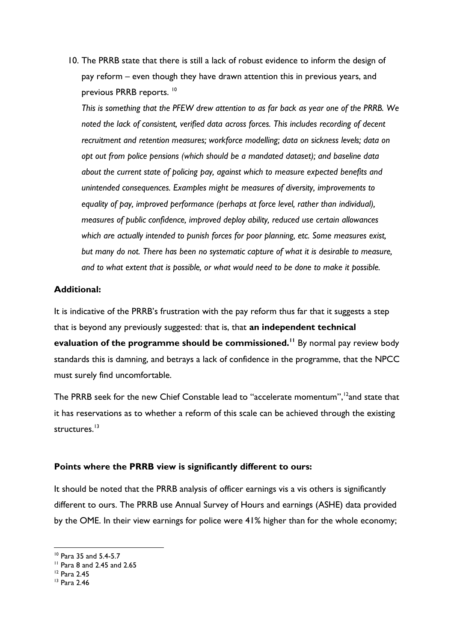10. The PRRB state that there is still a lack of robust evidence to inform the design of pay reform – even though they have drawn attention this in previous years, and previous PRRB reports. <sup>10</sup>

*This is something that the PFEW drew attention to as far back as year one of the PRRB. We noted the lack of consistent, verified data across forces. This includes recording of decent recruitment and retention measures; workforce modelling; data on sickness levels; data on opt out from police pensions (which should be a mandated dataset); and baseline data about the current state of policing pay, against which to measure expected benefits and unintended consequences. Examples might be measures of diversity, improvements to equality of pay, improved performance (perhaps at force level, rather than individual), measures of public confidence, improved deploy ability, reduced use certain allowances which are actually intended to punish forces for poor planning, etc. Some measures exist, but many do not. There has been no systematic capture of what it is desirable to measure, and to what extent that is possible, or what would need to be done to make it possible.* 

### **Additional:**

It is indicative of the PRRB's frustration with the pay reform thus far that it suggests a step that is beyond any previously suggested: that is, that **an independent technical evaluation of the programme should be commissioned.<sup>11</sup>** By normal pay review body standards this is damning, and betrays a lack of confidence in the programme, that the NPCC must surely find uncomfortable.

The PRRB seek for the new Chief Constable lead to "accelerate momentum",<sup>12</sup>and state that it has reservations as to whether a reform of this scale can be achieved through the existing structures.<sup>13</sup>

#### **Points where the PRRB view is significantly different to ours:**

It should be noted that the PRRB analysis of officer earnings vis a vis others is significantly different to ours. The PRRB use Annual Survey of Hours and earnings (ASHE) data provided by the OME. In their view earnings for police were 41% higher than for the whole economy;

 $\overline{a}$ 

<sup>10</sup> Para 35 and 5.4-5.7

<sup>11</sup> Para 8 and 2.45 and 2.65

<sup>12</sup> Para 2.45

<sup>13</sup> Para 2.46